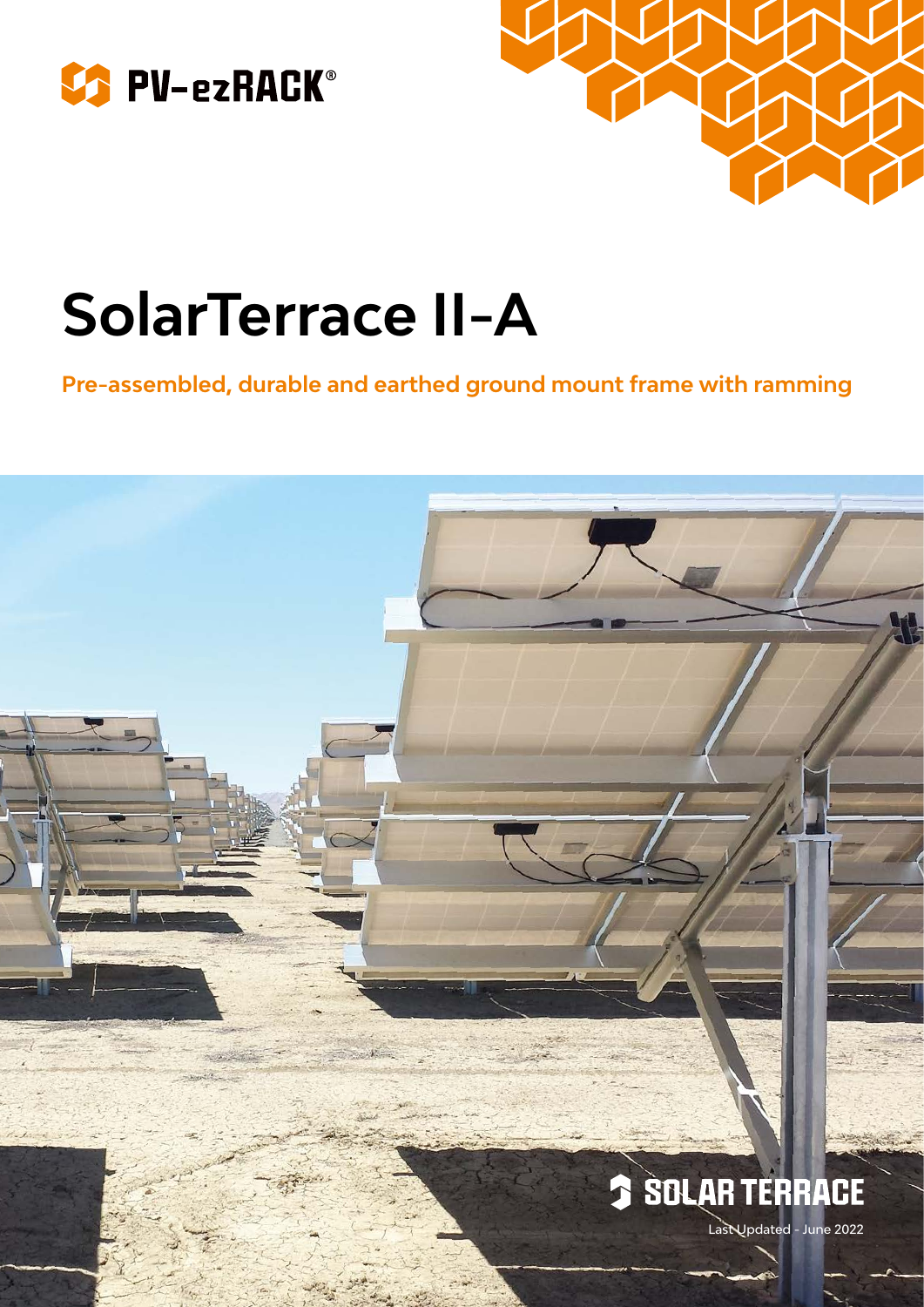



# **SolarTerrace II-A**

**Pre-assembled, durable and earthed ground mount frame with ramming**

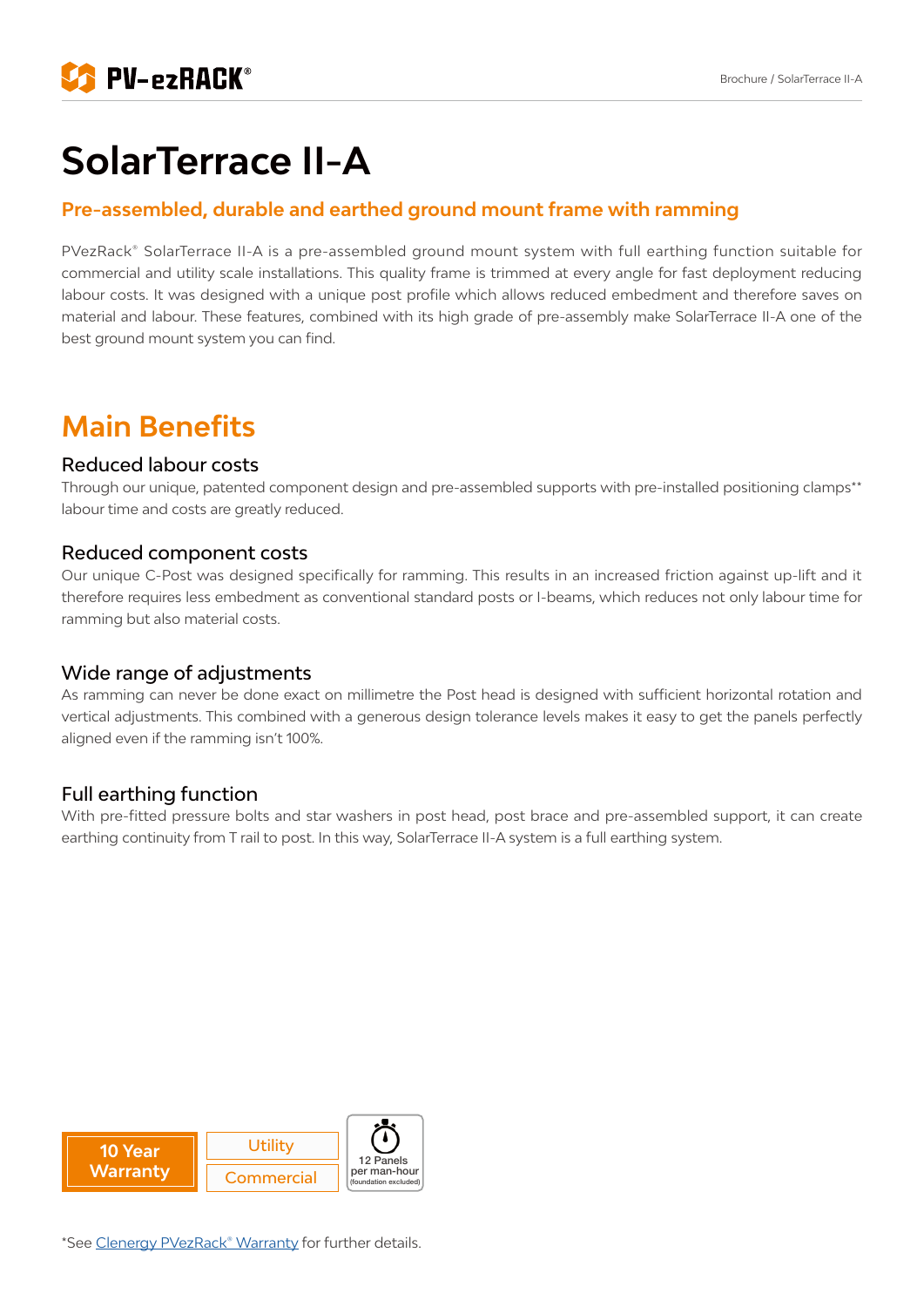

## **SolarTerrace II-A**

#### **Pre-assembled, durable and earthed ground mount frame with ramming**

PVezRack® SolarTerrace II-A is a pre-assembled ground mount system with full earthing function suitable for commercial and utility scale installations. This quality frame is trimmed at every angle for fast deployment reducing labour costs. It was designed with a unique post profile which allows reduced embedment and therefore saves on material and labour. These features, combined with its high grade of pre-assembly make SolarTerrace II-A one of the best ground mount system you can find.

### **Main Benefits**

#### Reduced labour costs

Through our unique, patented component design and pre-assembled supports with pre-installed positioning clamps\*\* labour time and costs are greatly reduced.

#### Reduced component costs

Our unique C-Post was designed specifically for ramming. This results in an increased friction against up-lift and it therefore requires less embedment as conventional standard posts or I-beams, which reduces not only labour time for ramming but also material costs.

#### Wide range of adjustments

As ramming can never be done exact on millimetre the Post head is designed with sufficient horizontal rotation and vertical adjustments. This combined with a generous design tolerance levels makes it easy to get the panels perfectly aligned even if the ramming isn't 100%.

#### Full earthing function

With pre-fitted pressure bolts and star washers in post head, post brace and pre-assembled support, it can create earthing continuity from T rail to post. In this way, SolarTerrace II-A system is a full earthing system.

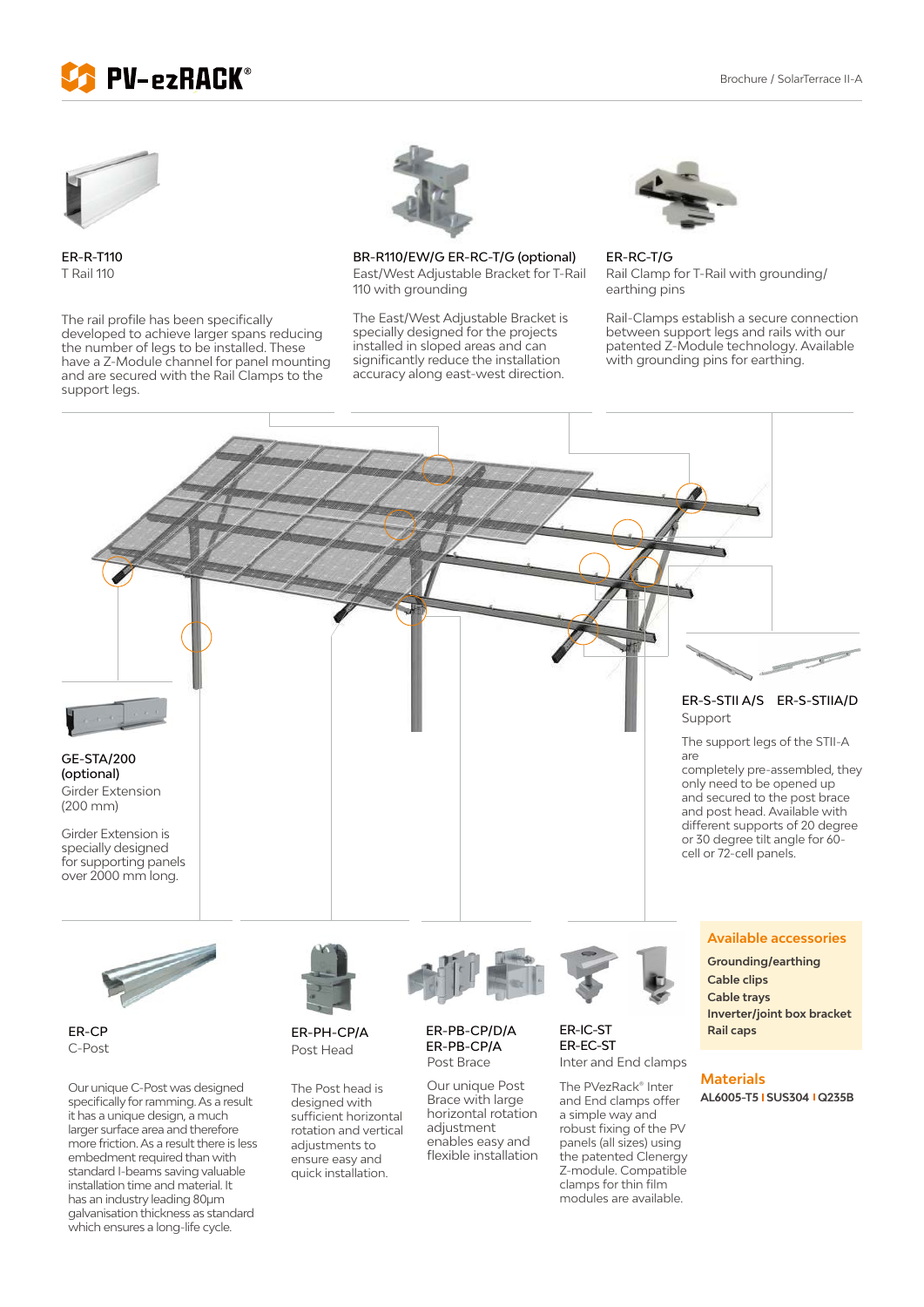



ER-R-T110 T Rail 110

The rail profile has been specifically developed to achieve larger spans reducing the number of legs to be installed. These have a Z-Module channel for panel mounting and are secured with the Rail Clamps to the support legs.

has an industry leading 80μm galvanisation thickness as standard which ensures a long-life cycle.



BR-R110/EW/G ER-RC-T/G (optional) East/West Adjustable Bracket for T-Rail 110 with grounding

The East/West Adjustable Bracket is specially designed for the projects installed in sloped areas and can significantly reduce the installation accuracy along east-west direction.



ER-RC-T/G Rail Clamp for T-Rail with grounding/ earthing pins

Rail-Clamps establish a secure connection between support legs and rails with our patented Z-Module technology. Available with grounding pins for earthing.



modules are available.